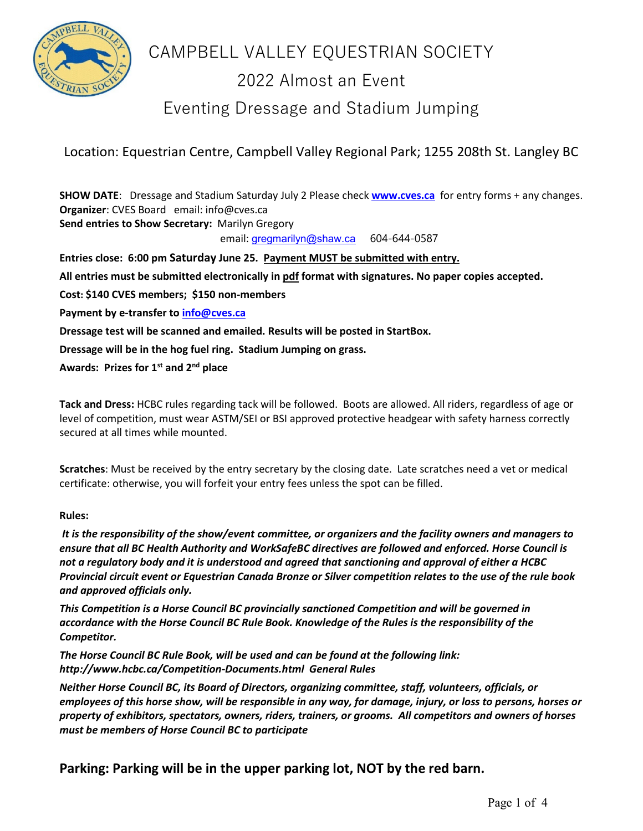

# CAMPBELL VALLEY EQUESTRIAN SOCIETY

# 2022 Almost an Event

Eventing Dressage and Stadium Jumping

Location: Equestrian Centre, Campbell Valley Regional Park; 1255 208th St. Langley BC

**SHOW DATE**: Dressage and Stadium Saturday July 2 Please check **[www.cves.ca](http://www.cves.ca/)** for entry forms + any changes. **Organizer**: CVES Board email: info@cves.ca **Send entries to Show Secretary:** Marilyn Gregory email: [gregmarilyn@shaw.ca](mailto:gregmarilyn@shaw.ca) 604-644-0587 **Entries close: 6:00 pm Saturday June 25. Payment MUST be submitted with entry. All entries must be submitted electronically in pdf format with signatures. No paper copies accepted. Cost: \$140 CVES members; \$150 non-members Payment by e-transfer t[o info@cves.ca](mailto:info@cves.ca) Dressage test will be scanned and emailed. Results will be posted in StartBox. Dressage will be in the hog fuel ring. Stadium Jumping on grass.**

**Awards: Prizes for 1st and 2nd place**

**Tack and Dress:** HCBC rules regarding tack will be followed. Boots are allowed. All riders, regardless of age or level of competition, must wear ASTM/SEI or BSI approved protective headgear with safety harness correctly secured at all times while mounted.

**Scratches**: Must be received by the entry secretary by the closing date. Late scratches need a vet or medical certificate: otherwise, you will forfeit your entry fees unless the spot can be filled.

#### **Rules:**

*It is the responsibility of the show/event committee, or organizers and the facility owners and managers to ensure that all BC Health Authority and WorkSafeBC directives are followed and enforced. Horse Council is not a regulatory body and it is understood and agreed that sanctioning and approval of either a HCBC Provincial circuit event or Equestrian Canada Bronze or Silver competition relates to the use of the rule book and approved officials only.*

*This Competition is a Horse Council BC provincially sanctioned Competition and will be governed in accordance with the Horse Council BC Rule Book. Knowledge of the Rules is the responsibility of the Competitor.* 

*The Horse Council BC Rule Book, will be used and can be found at the following link: <http://www.hcbc.ca/Competition-Documents.html>General Rules*

*Neither Horse Council BC, its Board of Directors, organizing committee, staff, volunteers, officials, or employees of this horse show, will be responsible in any way, for damage, injury, or loss to persons, horses or property of exhibitors, spectators, owners, riders, trainers, or grooms. All competitors and owners of horses must be members of Horse Council BC to participate*

**Parking: Parking will be in the upper parking lot, NOT by the red barn.**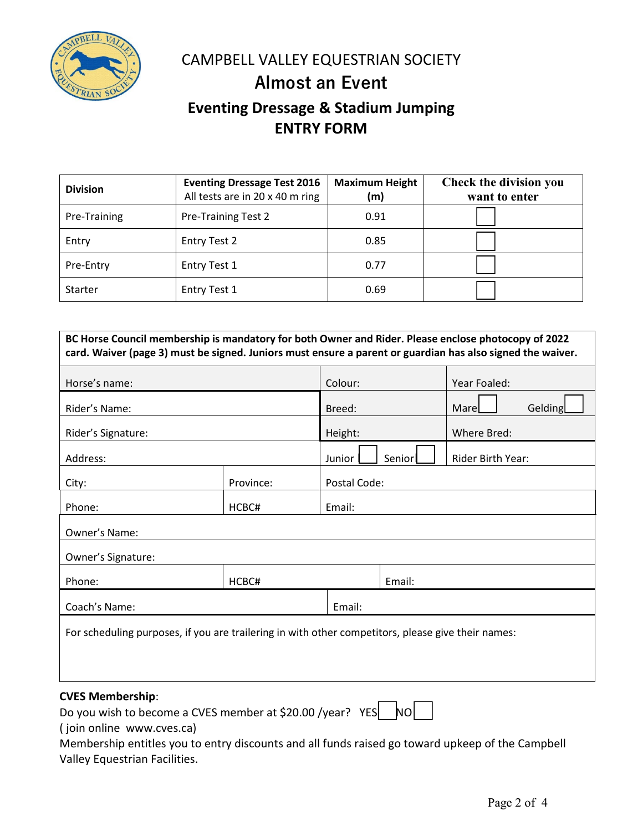

CAMPBELL VALLEY EQUESTRIAN SOCIETY

## **Almost an Event**

## **Eventing Dressage & Stadium Jumping ENTRY FORM**

| <b>Division</b> | <b>Eventing Dressage Test 2016</b><br>All tests are in 20 x 40 m ring | <b>Maximum Height</b><br>(m) | <b>Check the division you</b><br>want to enter |
|-----------------|-----------------------------------------------------------------------|------------------------------|------------------------------------------------|
| Pre-Training    | <b>Pre-Training Test 2</b>                                            | 0.91                         |                                                |
| Entry           | <b>Entry Test 2</b>                                                   | 0.85                         |                                                |
| Pre-Entry       | <b>Entry Test 1</b>                                                   | 0.77                         |                                                |
| Starter         | <b>Entry Test 1</b>                                                   | 0.69                         |                                                |

| BC Horse Council membership is mandatory for both Owner and Rider. Please enclose photocopy of 2022<br>card. Waiver (page 3) must be signed. Juniors must ensure a parent or guardian has also signed the waiver. |           |         |              |                   |              |  |
|-------------------------------------------------------------------------------------------------------------------------------------------------------------------------------------------------------------------|-----------|---------|--------------|-------------------|--------------|--|
| Horse's name:                                                                                                                                                                                                     |           | Colour: |              |                   | Year Foaled: |  |
| Rider's Name:                                                                                                                                                                                                     |           | Breed:  |              |                   | Gelding      |  |
| Rider's Signature:                                                                                                                                                                                                |           | Height: |              | Where Bred:       |              |  |
| Address:                                                                                                                                                                                                          |           | Junior  | Seniorl      | Rider Birth Year: |              |  |
| City:                                                                                                                                                                                                             | Province: |         | Postal Code: |                   |              |  |
| Phone:                                                                                                                                                                                                            | HCBC#     | Email:  |              |                   |              |  |
| Owner's Name:                                                                                                                                                                                                     |           |         |              |                   |              |  |
| Owner's Signature:                                                                                                                                                                                                |           |         |              |                   |              |  |
| Phone:                                                                                                                                                                                                            | HCBC#     | Email:  |              |                   |              |  |
| Coach's Name:                                                                                                                                                                                                     |           | Email:  |              |                   |              |  |
| For scheduling purposes, if you are trailering in with other competitors, please give their names:                                                                                                                |           |         |              |                   |              |  |

### **CVES Membership**:

Do you wish to become a CVES member at \$20.00 /year? YES NO

( join online www.cves.ca)

Membership entitles you to entry discounts and all funds raised go toward upkeep of the Campbell Valley Equestrian Facilities.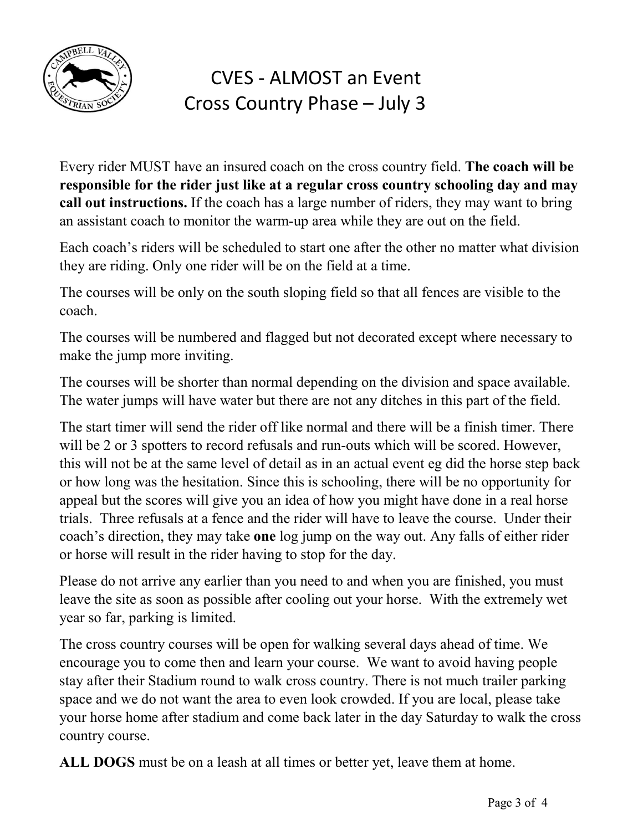

# CVES - ALMOST an Event Cross Country Phase – July 3

Every rider MUST have an insured coach on the cross country field. **The coach will be responsible for the rider just like at a regular cross country schooling day and may call out instructions.** If the coach has a large number of riders, they may want to bring an assistant coach to monitor the warm-up area while they are out on the field.

Each coach's riders will be scheduled to start one after the other no matter what division they are riding. Only one rider will be on the field at a time.

The courses will be only on the south sloping field so that all fences are visible to the coach.

The courses will be numbered and flagged but not decorated except where necessary to make the jump more inviting.

The courses will be shorter than normal depending on the division and space available. The water jumps will have water but there are not any ditches in this part of the field.

The start timer will send the rider off like normal and there will be a finish timer. There will be 2 or 3 spotters to record refusals and run-outs which will be scored. However, this will not be at the same level of detail as in an actual event eg did the horse step back or how long was the hesitation. Since this is schooling, there will be no opportunity for appeal but the scores will give you an idea of how you might have done in a real horse trials. Three refusals at a fence and the rider will have to leave the course. Under their coach's direction, they may take **one** log jump on the way out. Any falls of either rider or horse will result in the rider having to stop for the day.

Please do not arrive any earlier than you need to and when you are finished, you must leave the site as soon as possible after cooling out your horse. With the extremely wet year so far, parking is limited.

The cross country courses will be open for walking several days ahead of time. We encourage you to come then and learn your course. We want to avoid having people stay after their Stadium round to walk cross country. There is not much trailer parking space and we do not want the area to even look crowded. If you are local, please take your horse home after stadium and come back later in the day Saturday to walk the cross country course.

**ALL DOGS** must be on a leash at all times or better yet, leave them at home.